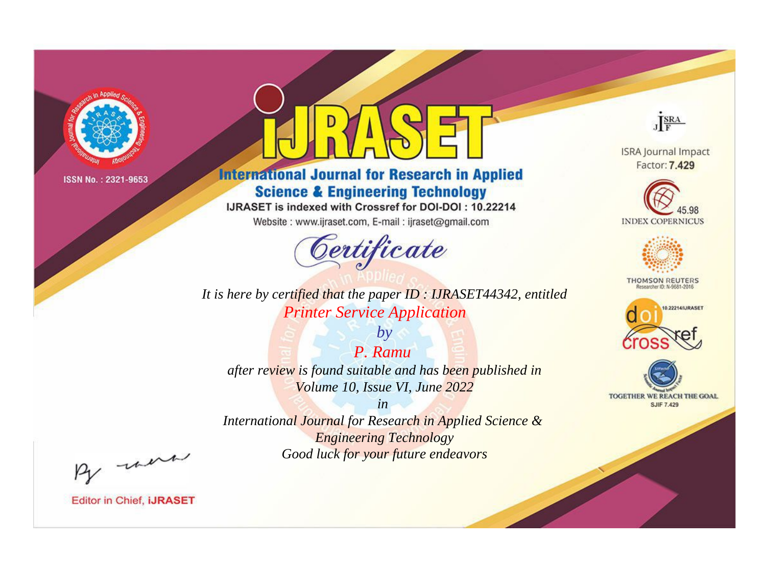

# **International Journal for Research in Applied Science & Engineering Technology**

IJRASET is indexed with Crossref for DOI-DOI: 10.22214

Website: www.ijraset.com, E-mail: ijraset@gmail.com



**ISRA Journal Impact** Factor: 7.429

JERA





**THOMSON REUTERS** 



TOGETHER WE REACH THE GOAL **SJIF 7.429** 

It is here by certified that the paper ID: IJRASET44342, entitled **Printer Service Application** 

P. Ramu after review is found suitable and has been published in Volume 10, Issue VI, June 2022

 $by$ 

 $in$ International Journal for Research in Applied Science & **Engineering Technology** Good luck for your future endeavors

By morn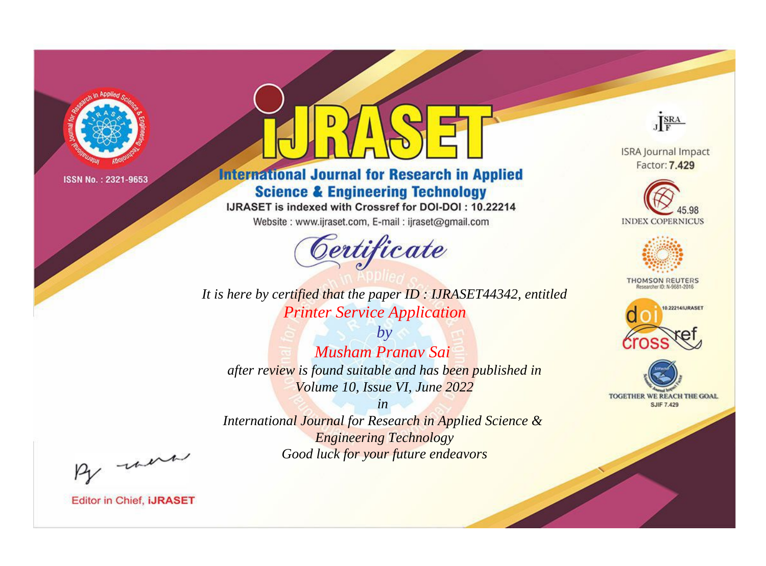

# **International Journal for Research in Applied Science & Engineering Technology**

IJRASET is indexed with Crossref for DOI-DOI: 10.22214

Website: www.ijraset.com, E-mail: ijraset@gmail.com



JERA

**ISRA Journal Impact** Factor: 7.429





**THOMSON REUTERS** 



TOGETHER WE REACH THE GOAL **SJIF 7.429** 

It is here by certified that the paper ID: IJRASET44342, entitled **Printer Service Application** 

 $b\nu$ **Musham Pranay Sai** after review is found suitable and has been published in Volume 10, Issue VI, June 2022

 $in$ International Journal for Research in Applied Science & **Engineering Technology** Good luck for your future endeavors

By morn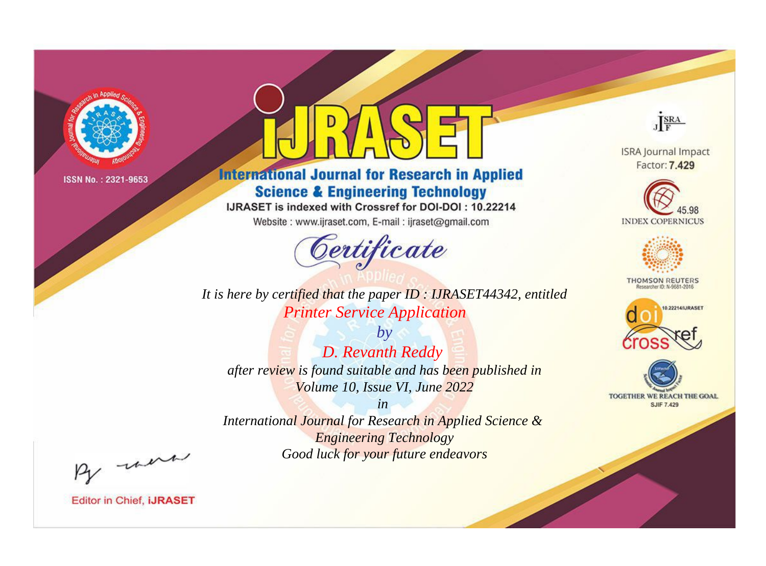

# **International Journal for Research in Applied Science & Engineering Technology**

IJRASET is indexed with Crossref for DOI-DOI: 10.22214

Website: www.ijraset.com, E-mail: ijraset@gmail.com



JERA **ISRA Journal Impact** 

Factor: 7.429





**THOMSON REUTERS** 



TOGETHER WE REACH THE GOAL **SJIF 7.429** 

*It is here by certified that the paper ID : IJRASET44342, entitled Printer Service Application*

*by D. Revanth Reddy after review is found suitable and has been published in Volume 10, Issue VI, June 2022*

*in* 

*International Journal for Research in Applied Science & Engineering Technology Good luck for your future endeavors*

By morn